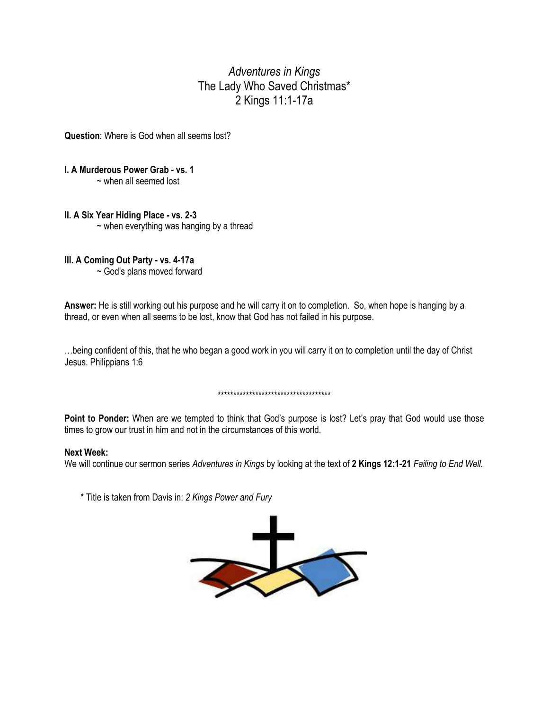# *Adventures in Kings* The Lady Who Saved Christmas\* 2 Kings 11:1-17a

**Question**: Where is God when all seems lost?

## **I. A Murderous Power Grab - vs. 1**

~ when all seemed lost

### **II. A Six Year Hiding Place - vs. 2-3**

 $\sim$  when everything was hanging by a thread

## **III. A Coming Out Party - vs. 4-17a**

~ God's plans moved forward

**Answer:** He is still working out his purpose and he will carry it on to completion. So, when hope is hanging by a thread, or even when all seems to be lost, know that God has not failed in his purpose.

…being confident of this, that he who began a good work in you will carry it on to completion until the day of Christ Jesus. Philippians 1:6

#### \*\*\*\*\*\*\*\*\*\*\*\*\*\*\*\*\*\*\*\*\*\*\*\*\*\*\*\*\*\*\*\*\*\*\*\*

Point to Ponder: When are we tempted to think that God's purpose is lost? Let's pray that God would use those times to grow our trust in him and not in the circumstances of this world.

#### **Next Week:**

We will continue our sermon series *Adventures in Kings* by looking at the text of **2 Kings 12:1-21** *Failing to End Well.*

\* Title is taken from Davis in: *2 Kings Power and Fury*